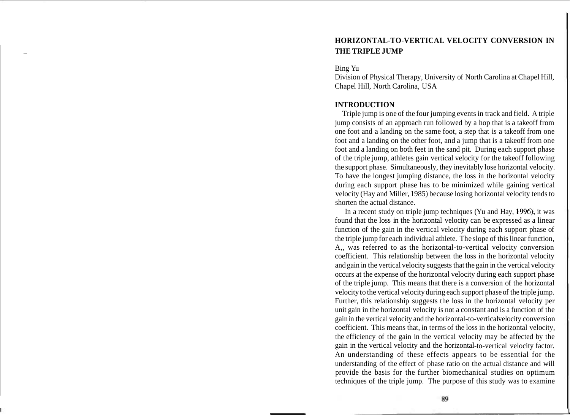# **HORIZONTAL-TO-VERTICAL VELOCITY CONVERSION IN**  - **THE TRIPLE JUMP**

### Bing Yu

Division of Physical Therapy, University of North Carolina at Chapel Hill, Chapel Hill, North Carolina, USA

# **INTRODUCTION**

Triple jump is one of the four jumping events in track and field. A triple jump consists of an approach run followed by a hop that is a takeoff from one foot and a landing on the same foot, a step that is a takeoff from one foot and a landing on the other foot, and a jump that is a takeoff from one foot and a landing on both feet in the sand pit. During each support phase of the triple jump, athletes gain vertical velocity for the takeoff following the support phase. Simultaneously, they inevitably lose horizontal velocity. To have the longest jumping distance, the loss in the horizontal velocity during each support phase has to be minimized while gaining vertical velocity (Hay and Miller, 1985) because losing horizontal velocity tends to shorten the actual distance.

In a recent study on triple jump techniques (Yu and Hay, 1996), it was found that the loss in the horizontal velocity can be expressed as a linear function of the gain in the vertical velocity during each support phase of the triple jump for each individual athlete. The slope of this linear function, A,, was referred to as the horizontal-to-vertical velocity conversion coefficient. This relationship between the loss in the horizontal velocity and gain in the vertical velocity suggests that the gain in the vertical velocity occurs at the expense of the horizontal velocity during each support phase of the triple jump. This means that there is a conversion of the horizontal velocity to the vertical velocity during each support phase of the triple jump. Further, this relationship suggests the loss in the horizontal velocity per unit gain in the horizontal velocity is not a constant and is a function of the gain in the vertical velocity and the horizontal-to-vertical velocity conversion coefficient. This means that, in terms of the loss in the horizontal velocity, the efficiency of the gain in the vertical velocity may be affected by the gain in the vertical velocity and the horizontal-to-vertical velocity factor. An understanding of these effects appears to be essential for the understanding of the effect of phase ratio on the actual distance and will provide the basis for the further biomechanical studies on optimum techniques of the triple jump. The purpose of this study was to examine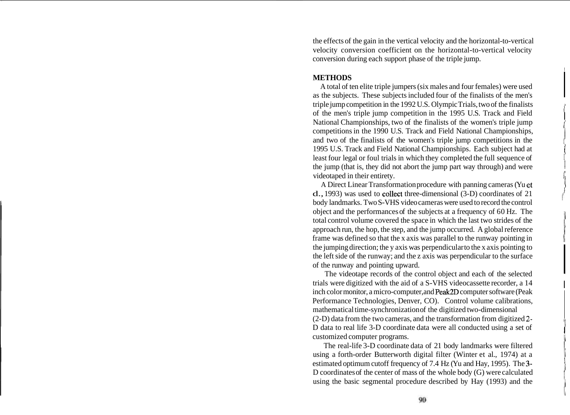the effects of the gain in the vertical velocity and the horizontal-to-vertical velocity conversion coefficient on the horizontal-to-vertical velocity conversion during each support phase of the triple jump.

# **METHODS**

A total of ten elite triple jumpers (six males and four females) were used as the subjects. These subjects included four of the finalists of the men's triple jump competition in the 1992 U.S. Olympic Trials, two of the finalists of the men's triple jump competition in the 1995 U.S. Track and Field i National Championships, two of the finalists of the women's triple jump competitions in the 1990 U.S. Track and Field National Championships, and two of the finalists of the women's triple jump competitions in the 1995 U.S. Track and Field National Championships. Each subject had at least four legal or foul trials in which they completed the full sequence of the jump (that is, they did not abort the jump part way through) and were videotaped in their entirety.

A Direct Linear Transformation procedure with panning cameras (Yu **d**   $d., 1993$ ) was used to collect three-dimensional  $(3-D)$  coordinates of 21 body landmarks. Two S-VHS video cameras were used to record the control object and the performances of the subjects at a frequency of 60 Hz. The total control volume covered the space in which the last two strides of the approach run, the hop, the step, and the jump occurred. A global reference frame was defined so that the x axis was parallel to the runway pointing in the jumping direction; the y axis was perpendicular to the x axis pointing to the left side of the runway; and the z axis was perpendicular to the surface of the runway and pointing upward.

The videotape records of the control object and each of the selected trials were digitized with the aid of a S-VHS videocassette recorder, a 14 inch color monitor, a micro-computer, and Peak2D computer software (Peak Performance Technologies, Denver, CO). Control volume calibrations, mathematical time-synchronization of the digitized two-dimensional (2-D) data from the two cameras, and the transformation from digitized **2-**  D data to real life 3-D coordinate data were all conducted using a set of

customized computer programs. The real-life 3-D coordinate data of 21 body landmarks were filtered using a forth-order Butterworth digital filter (Winter et al., 1974) at a estimated optimum cutoff frequency of 7.4 Hz (Yu and Hay, 1995). The 3- D coordinates of the center of mass of the whole body (G) were calculated using the basic segmental procedure described by Hay (1993) and the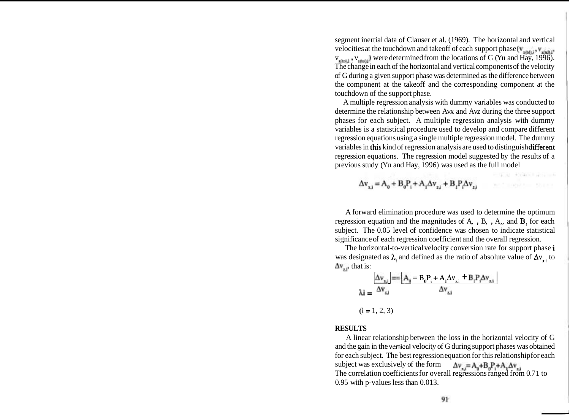segment inertial data of Clauser et al. (1969). The horizontal and vertical velocities at the touchdown and takeoff of each support phase ( $v_{\text{wndi}}$ ,  $v_{\text{wndi}}$ ,  $v_{\text{initial}}$ ,  $v_{\text{initial}}$ ) were determined from the locations of G (Yu and Hay, 1996). The change in each of the horizontal and vertical components of the velocity of G during a given support phase was determined as the difference between the component at the takeoff and the corresponding component at the touchdown of the support phase.

A multiple regression analysis with dummy variables was conducted to determine the relationship between Avx and Avz during the three support phases for each subject. A multiple regression analysis with dummy variables is a statistical procedure used to develop and compare different regression equations using a single multiple regression model. The dummy variables in this kind of regression analysis are used to distinguish different regression equations. The regression model suggested by the results of a previous study (Yu and Hay, 1996) was used as the full model

4. 42. White is a control

中国经济 经工作

 $\Delta v_{nl} = A_0 + B_0 P_l + A_l \Delta v_{nl} + B_l P_l \Delta v_{nl}$ 

A forward elimination procedure was used to determine the optimum regression equation and the magnitudes of  $A$ ,  $B$ ,  $A$ , and  $B$ <sub>1</sub> for each subject. The 0.05 level of confidence was chosen to indicate statistical significance of each regression coefficient and the overall regression.

The horizontal-to-vertical velocity conversion rate for support phase i was designated as  $\lambda_i$  and defined as the ratio of absolute value of  $\Delta v_{x,i}$  to  $\Delta v_{av}$  that is:

$$
\Delta v_{x,i} = \frac{|\Delta v_{x,i}|}{\Delta v_{x,i}} = \frac{|\Delta_0 - B_0 P_i + A_1 \Delta v_{x,i} + B_1 P_i \Delta v_{x,i}|}{\Delta v_{x,i}}
$$

# $(i = 1, 2, 3)$

#### **RESULTS**

A linear relationship between the loss in the horizontal velocity of G and the gain in the vertical velocity of G during support phases was obtained for each subject. The best regression equation for this relationship for each subject was exclusively of the form  $\Delta v_{x,i} = A_0 + B_0 P_i + A_1 \Delta v_{x,i}$ The correlation coefficients for overall regressions ranged from 0.7 1 to 0.95 with p-values less than 0.013.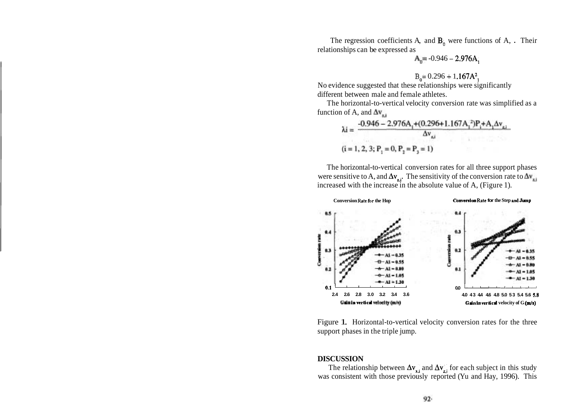The regression coefficients A, and **B,** were functions of A, . Their relationships can be expressed as

$$
A_0 = -0.946 - 2.976A_1
$$

$$
B_0 = 0.296 + 1.167A^2
$$

No evidence suggested that these relationships were significantly different between male and female athletes.

The horizontal-to-vertical velocity conversion rate was simplified as a function of A, and  $\Delta v_{\text{rel}}$ 

$$
\lambda i = \frac{-0.946 - 2.976A_1 + (0.296 + 1.167A_1^2)P_1 + A_1 \Delta v_{21}}{\Delta v_{22}}
$$
  
(i = 1, 2, 3; P<sub>1</sub> = 0, P<sub>2</sub> = P<sub>3</sub> = 1)

The horizontal-to-vertical conversion rates for all three support phases were sensitive to A, and  $\Delta v_{zi}$ . The sensitivity of the conversion rate to  $\Delta v_{zi}$ increased with the increase in the absolute value of A, (Figure 1).



Figure 1. Horizontal-to-vertical velocity conversion rates for the three support phases in the triple jump.

### **DISCUSSION**

The relationship between  $\Delta v_{\rm x,i}$  and  $\Delta v_{\rm z,i}$  for each subject in this study was consistent with those previously reported (Yu and Hay, 1996). This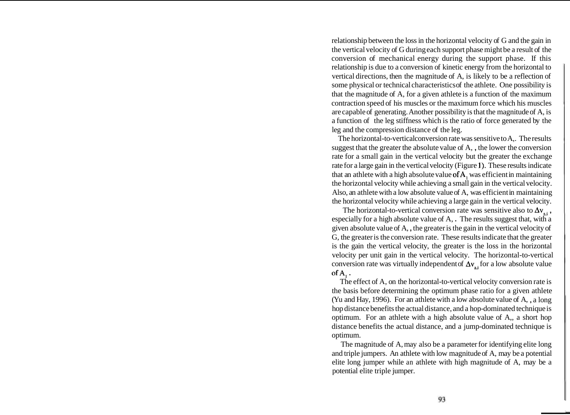relationship between the loss in the horizontal velocity of G and the gain in the vertical velocity of G during each support phase might be a result of the conversion of mechanical energy during the support phase. If this relationship is due to a conversion of kinetic energy from the horizontal to vertical directions, then the magnitude of A, is likely to be a reflection of some physical or technical characteristics of the athlete. One possibility is that the magnitude of A, for a given athlete is a function of the maximum contraction speed of his muscles or the maximum force which his muscles are capable of generating. Another possibility is that the magnitude of A, is a function of the leg stiffness which is the ratio of force generated by the leg and the compression distance of the leg.

The horizontal-to-vertical conversion rate was sensitive to  $A_{n}$ . The results suggest that the greater the absolute value of A, , the lower the conversion rate for a small gain in the vertical velocity but the greater the exchange rate for a large gain in the vertical velocity (Figure I). These results indicate that an athlete with a high absolute value of  $A$ , was efficient in maintaining the horizontal velocity while achieving a small gain in the vertical velocity. Also, an athlete with a low absolute value of A, was efficient in maintaining the horizontal velocity while achieving a large gain in the vertical velocity.

The horizontal-to-vertical conversion rate was sensitive also to  $\Delta v_{\rm z}$ , especially for a high absolute value of A, . The results suggest that, with a given absolute value of A, , the greater is the gain in the vertical velocity of G, the greater is the conversion rate. These results indicate that the greater is the gain the vertical velocity, the greater is the loss in the horizontal velocity per unit gain in the vertical velocity. The horizontal-to-vertical conversion rate was virtually independent of  $\Delta v$ , for a low absolute value ofA, .

The effect of A, on the horizontal-to-vertical velocity conversion rate is the basis before determining the optimum phase ratio for a given athlete (Yu and Hay, 1996). For an athlete with a low absolute value of A, , a long hop distance benefits the actual distance, and a hop-dominated technique is optimum. For an athlete with a high absolute value of A,, a short hop distance benefits the actual distance, and a jump-dominated technique is optimum.

The magnitude of A, may also be a parameter for identifying elite long and triple jumpers. An athlete with low magnitude of A, may be a potential elite long jumper while an athlete with high magnitude of A, may be a potential elite triple jumper.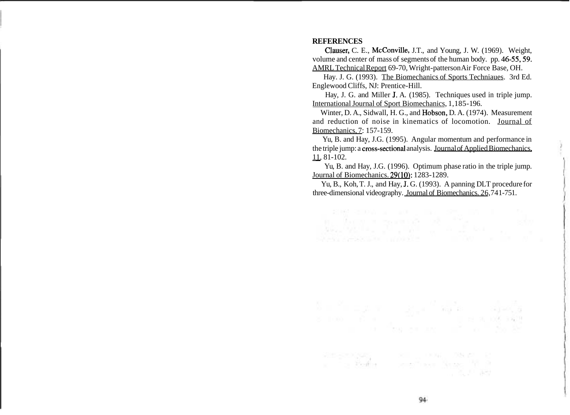### **REFERENCES**

Clauser; C. E., McConville, J.T., and Young, J. W. (1969). Weight, volume and center of mass of segments of the human body. pp. 46-55,59. AMRL Technical Report 69-70, Wright-patterson Air Force Base, OH.

Hay. J. G. (1993). The Biomechanics of Sports Techniaues. 3rd Ed. Englewood Cliffs, NJ: Prentice-Hill.

Hay, J. G. and Miller J. A. (1985). Techniques used in triple jump. International Journal of Sport Biomechanics, 1,185- 196.

Winter, D. A., Sidwall, H. G., and Hobson, D. A. (1974). Measurement and reduction of noise in kinematics of locomotion. Journal of Biomechanics, 7: 157-159.

Yu, B. and Hay, J.G. (1995). Angular momentum and performance in the triple jump: a cross-sectional analysis. Journal of Applied Biomechanics, ru, B. ar<br>the triple jun<br> $\frac{11}{11}$ , 81-102.

Yu, B. and Hay, J.G. (1996). Optimum phase ratio in the triple jump. Journal of Biomechanics. 29(10): 1283-1289.

Yu, B., Koh, T. J., and Hay, J. G. (1993). A panning DLT procedure for three-dimensional videography. Journal of Biomechanics. 26,741-751.

SCHOOL CONTROL 2006 INC. 12

 $\label{eq:2.1} \mathcal{L}_{\text{max}} = \frac{1}{2} \log \left( \frac{1}{\pi} \right) \qquad \text{where} \qquad \mathcal{L}_{\text{max}} = \frac{1}{2} \log \left( \frac{1}{\pi} \right)$ 

Simpson page 1999 - 1999 - 1998 - 1999 - 1999 - 1999 - 1999 - 1999 - 1999 - 1999 - 1999 - 1999 - 1999 - 1999 - 1999 - 1999 - 1999 - 1999 - 1999 - 1999 - 1999 - 1999 - 1999 - 1999 - 1999 - 1999 - 1999 - 1999 - 1999 - 1999 -